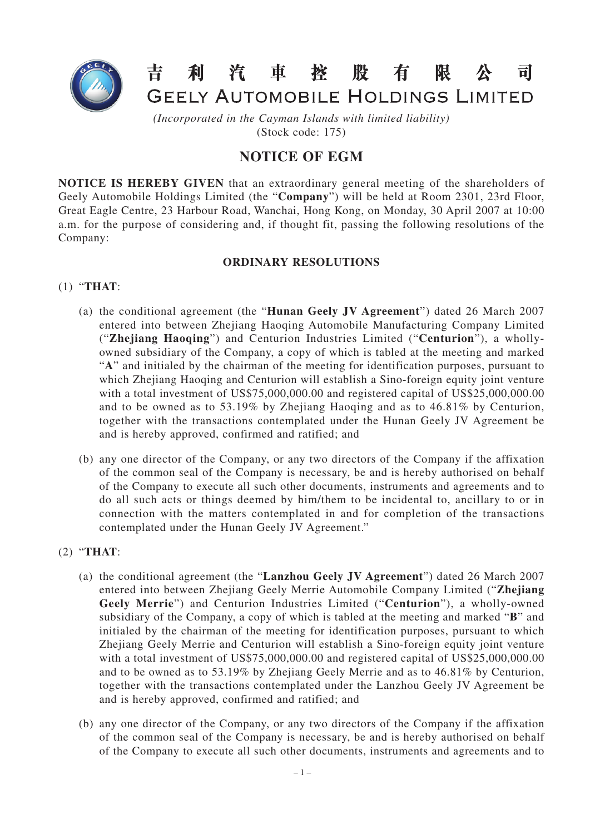

#### 昔 利 汽 車 控 股 有 限 र्चा

GEELY AUTOMOBILE HOLDINGS LIMITED

*(Incorporated in the Cayman Islands with limited liability)* (Stock code: 175)

# **NOTICE OF EGM**

**NOTICE IS HEREBY GIVEN** that an extraordinary general meeting of the shareholders of Geely Automobile Holdings Limited (the "**Company**") will be held at Room 2301, 23rd Floor, Great Eagle Centre, 23 Harbour Road, Wanchai, Hong Kong, on Monday, 30 April 2007 at 10:00 a.m. for the purpose of considering and, if thought fit, passing the following resolutions of the Company:

## **ORDINARY RESOLUTIONS**

## (1) "**THAT**:

- (a) the conditional agreement (the "**Hunan Geely JV Agreement**") dated 26 March 2007 entered into between Zhejiang Haoqing Automobile Manufacturing Company Limited ("**Zhejiang Haoqing**") and Centurion Industries Limited ("**Centurion**"), a whollyowned subsidiary of the Company, a copy of which is tabled at the meeting and marked "**A**" and initialed by the chairman of the meeting for identification purposes, pursuant to which Zhejiang Haoqing and Centurion will establish a Sino-foreign equity joint venture with a total investment of US\$75,000,000.00 and registered capital of US\$25,000,000.00 and to be owned as to 53.19% by Zhejiang Haoqing and as to 46.81% by Centurion, together with the transactions contemplated under the Hunan Geely JV Agreement be and is hereby approved, confirmed and ratified; and
- (b) any one director of the Company, or any two directors of the Company if the affixation of the common seal of the Company is necessary, be and is hereby authorised on behalf of the Company to execute all such other documents, instruments and agreements and to do all such acts or things deemed by him/them to be incidental to, ancillary to or in connection with the matters contemplated in and for completion of the transactions contemplated under the Hunan Geely JV Agreement."

#### (2) "**THAT**:

- (a) the conditional agreement (the "**Lanzhou Geely JV Agreement**") dated 26 March 2007 entered into between Zhejiang Geely Merrie Automobile Company Limited ("**Zhejiang Geely Merrie**") and Centurion Industries Limited ("**Centurion**"), a wholly-owned subsidiary of the Company, a copy of which is tabled at the meeting and marked "**B**" and initialed by the chairman of the meeting for identification purposes, pursuant to which Zhejiang Geely Merrie and Centurion will establish a Sino-foreign equity joint venture with a total investment of US\$75,000,000.00 and registered capital of US\$25,000,000.00 and to be owned as to 53.19% by Zhejiang Geely Merrie and as to 46.81% by Centurion, together with the transactions contemplated under the Lanzhou Geely JV Agreement be and is hereby approved, confirmed and ratified; and
- (b) any one director of the Company, or any two directors of the Company if the affixation of the common seal of the Company is necessary, be and is hereby authorised on behalf of the Company to execute all such other documents, instruments and agreements and to